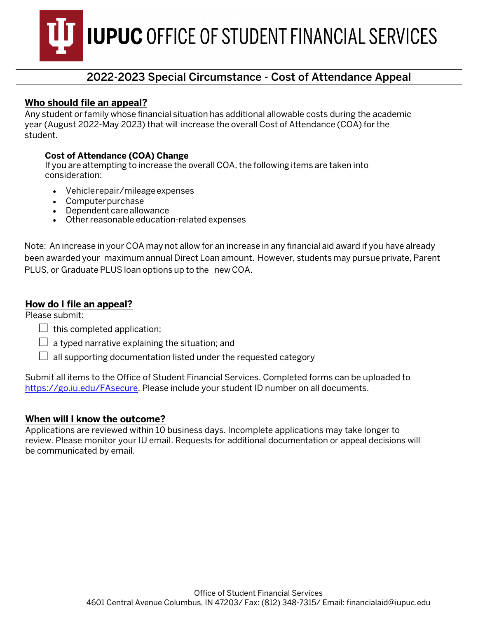**IUPUC OFFICE OF STUDENT FINANCIAL SERVICES** 

## 2022-2023 Special Circumstance - Cost of Attendance Appeal

### **Who should file an appeal?**

Any student or family whose financial situation has additional allowable costs during the academic year (August 2022-May 2023) that will increase the overall Cost of Attendance (COA) for the student.

#### **Cost of Attendance (COA) Change**

If you are attempting to increase the overall COA, the following items are taken into consideration:

- Vehicle repair/mileage expenses
- Computer purchase
- Dependent care allowance
- Other reasonable education-related expenses

Note: An increase in your COA may not allow for an increase in any financial aid award if you have already been awarded your maximum annual Direct Loan amount. However, students may pursue private, Parent PLUS, or Graduate PLUS loan options up to the new COA.

#### **How do I file an appeal?**

Please submit:

- $\Box$  this completed application;
- $\Box$  a typed narrative explaining the situation; and
- $\Box$  all supporting documentation listed under the requested category

Submit all items to the Office of Student Financial Services. Completed forms can be uploaded to [https://go.iu.edu/FAsecure.](https://go.iu.edu/fasecure) Please include your student ID number on all documents.

#### **When will I know the outcome?**

Applications are reviewed within 10 business days. Incomplete applications may take longer to review. Please monitor your IU email. Requests for additional documentation or appeal decisions will be communicated by email.